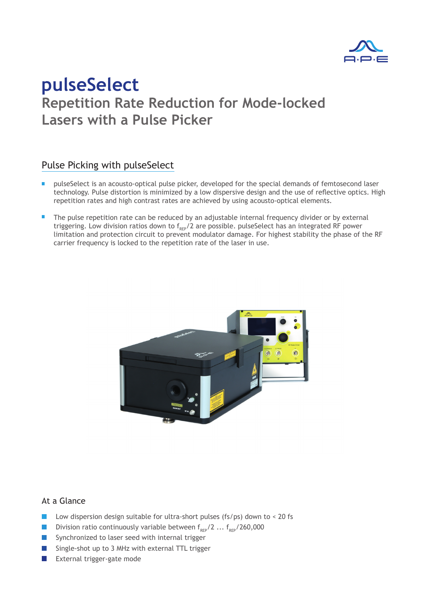

## **Repetition Rate Reduction for Mode-locked Lasers with a Pulse Picker pulseSelect**

### Pulse Picking with pulseSelect

- **P** pulseSelect is an acousto-optical pulse picker, developed for the special demands of femtosecond laser technology. Pulse distortion is minimized by a low dispersive design and the use of reflective optics. High repetition rates and high contrast rates are achieved by using acousto-optical elements.
- The pulse repetition rate can be reduced by an adjustable internal frequency divider or by external triggering. Low division ratios down to  $f_{_{REP}}/2$  are possible. pulseSelect has an integrated RF power limitation and protection circuit to prevent modulator damage. For highest stability the phase of the RF carrier frequency is locked to the repetition rate of the laser in use.



#### At a Glance

- $\mathbb{R}^n$ Low dispersion design suitable for ultra-short pulses (fs/ps) down to < 20 fs
- **Division ratio continuously variable between f**<sub>REP</sub>/2 ...  $f_{REP}$ /260,000
- Synchronized to laser seed with internal trigger
- Single-shot up to 3 MHz with external TTL trigger
- **EXternal trigger-gate mode**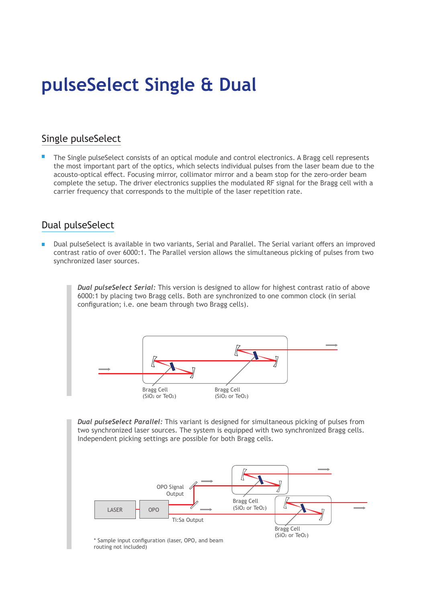# **pulseSelect Single & Dual**

## Single pulseSelect

The Single pulseSelect consists of an optical module and control electronics. A Bragg cell represents the most important part of the optics, which selects individual pulses from the laser beam due to the acousto-optical effect. Focusing mirror, collimator mirror and a beam stop for the zero-order beam complete the setup. The driver electronics supplies the modulated RF signal for the Bragg cell with a carrier frequency that corresponds to the multiple of the laser repetition rate.

### Dual pulseSelect

Dual pulseSelect is available in two variants, Serial and Parallel. The Serial variant offers an improved m, contrast ratio of over 6000:1. The Parallel version allows the simultaneous picking of pulses from two synchronized laser sources.

> *Dual pulseSelect Serial:* This version is designed to allow for highest contrast ratio of above 6000:1 by placing two Bragg cells. Both are synchronized to one common clock (in serial configuration; i.e. one beam through two Bragg cells).



*Dual pulseSelect Parallel:* This variant is designed for simultaneous picking of pulses from two synchronized laser sources. The system is equipped with two synchronized Bragg cells. Independent picking settings are possible for both Bragg cells.

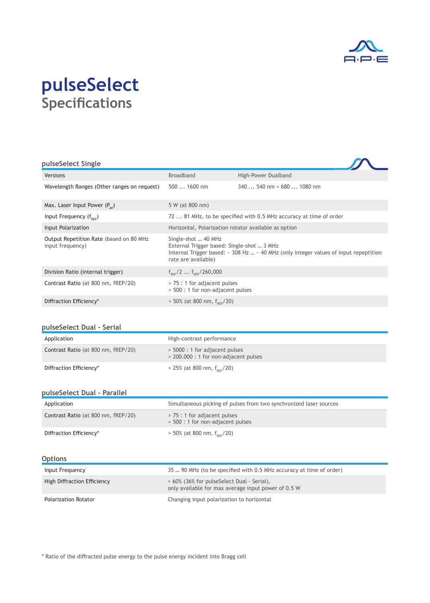

## **Specifications pulseSelect**

| pulseSelect Single                                           |                                                                                          |                                                                                                      |
|--------------------------------------------------------------|------------------------------------------------------------------------------------------|------------------------------------------------------------------------------------------------------|
| Versions                                                     | <b>Broadband</b>                                                                         | High-Power Dualband                                                                                  |
| Wavelength Ranges (Other ranges on request)                  | $5001600$ nm                                                                             | $340$ 540 nm + 680  1080 nm                                                                          |
| Max. Laser Input Power $(P_{av})$                            | 5 W (at 800 nm)                                                                          |                                                                                                      |
| Input Frequency $(f_{\text{pre}})$                           |                                                                                          | 72  81 MHz, to be specified with 0.5 MHz accuracy at time of order                                   |
| Input Polarization                                           | Horizontal, Polarization rotator available as option                                     |                                                                                                      |
| Output Repetition Rate (based on 80 MHz)<br>input frequency) | Single-shot  40 MHz<br>External Trigger based: Single-shot  3 MHz<br>rate are available) | Internal Trigger based: $\sim$ 308 Hz $\ldots \sim$ 40 MHz (only integer values of input repeptition |
| Division Ratio (internal trigger)                            | $f_{\text{pe}}/2$ $f_{\text{pe}}/260,000$                                                |                                                                                                      |
| Contrast Ratio (at 800 nm, fREP/20)                          | > 75 : 1 for adjacent pulses<br>> 500 : 1 for non-adjacent pulses                        |                                                                                                      |
| Diffraction Efficiency*                                      | $> 50\%$ (at 800 nm, $f_{\rm{sep}}/20$ )                                                 |                                                                                                      |

#### **pulseSelect Dual - Serial**

| Application                         | High-contrast performance                                               |
|-------------------------------------|-------------------------------------------------------------------------|
| Contrast Ratio (at 800 nm, fREP/20) | > 5000 : 1 for adjacent pulses<br>> 200.000 : 1 for non-adjacent pulses |
| Diffraction Efficiency*             | $> 25\%$ (at 800 nm, $f_{\text{pre}}/20$ )                              |

#### **pulseSelect Dual - Parallel**

| Application                         | Simultaneous picking of pulses from two synchronized laser sources |
|-------------------------------------|--------------------------------------------------------------------|
| Contrast Ratio (at 800 nm, fREP/20) | > 75 : 1 for adjacent pulses<br>> 500 : 1 for non-adjacent pulses  |
| Diffraction Efficiency*             | $> 50\%$ (at 800 nm, $f_{\text{per}}/20$ )                         |

#### **Options**

| Input Frequency             | 35  90 MHz (to be specified with 0.5 MHz accuracy at time of order)                               |
|-----------------------------|---------------------------------------------------------------------------------------------------|
| High Diffraction Efficiency | > 60% (36% for pulseSelect Dual - Serial),<br>only available for max average input power of 0.5 W |
| Polarization Rotator        | Changing input polarization to horizontal                                                         |

\* Ratio of the diffracted pulse energy to the pulse energy incident into Bragg cell